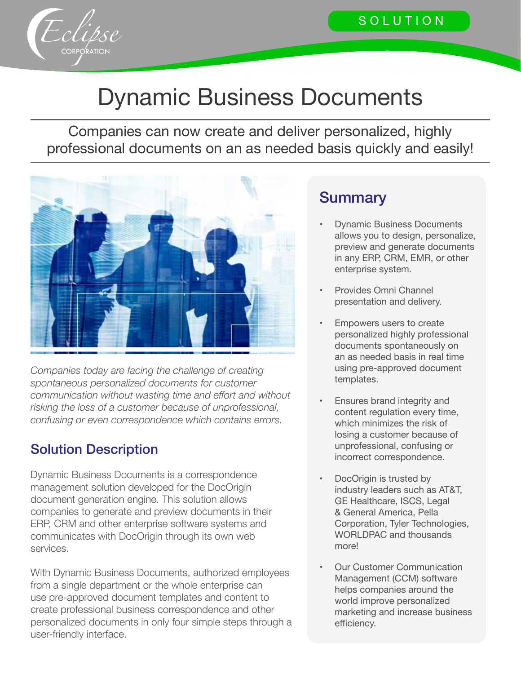

# Dynamic Business Documents

Companies can now create and deliver personalized, highly professional documents on an as needed basis quickly and easily!



*Companies today are facing the challenge of creating spontaneous personalized documents for customer communication without wasting time and effort and without risking the loss of a customer because of unprofessional, confusing or even correspondence which contains errors.*

#### Solution Description

Dynamic Business Documents is a correspondence management solution developed for the DocOrigin document generation engine. This solution allows companies to generate and preview documents in their ERP, CRM and other enterprise software systems and communicates with DocOrigin through its own web services.

With Dynamic Business Documents, authorized employees from a single department or the whole enterprise can use pre-approved document templates and content to create professional business correspondence and other personalized documents in only four simple steps through a user-friendly interface.

#### **Summary**

- **Dynamic Business Documents** allows you to design, personalize, preview and generate documents in any ERP, CRM, EMR, or other enterprise system.
- Provides Omni Channel presentation and delivery.
- Empowers users to create personalized highly professional documents spontaneously on an as needed basis in real time using pre-approved document templates.
- Ensures brand integrity and content regulation every time, which minimizes the risk of losing a customer because of unprofessional, confusing or incorrect correspondence.
- DocOrigin is trusted by industry leaders such as AT&T, GE Healthcare, ISCS, Legal & General America, Pella Corporation, Tyler Technologies, WORLDPAC and thousands more!
- **Our Customer Communication** Management (CCM) software helps companies around the world improve personalized marketing and increase business efficiency.